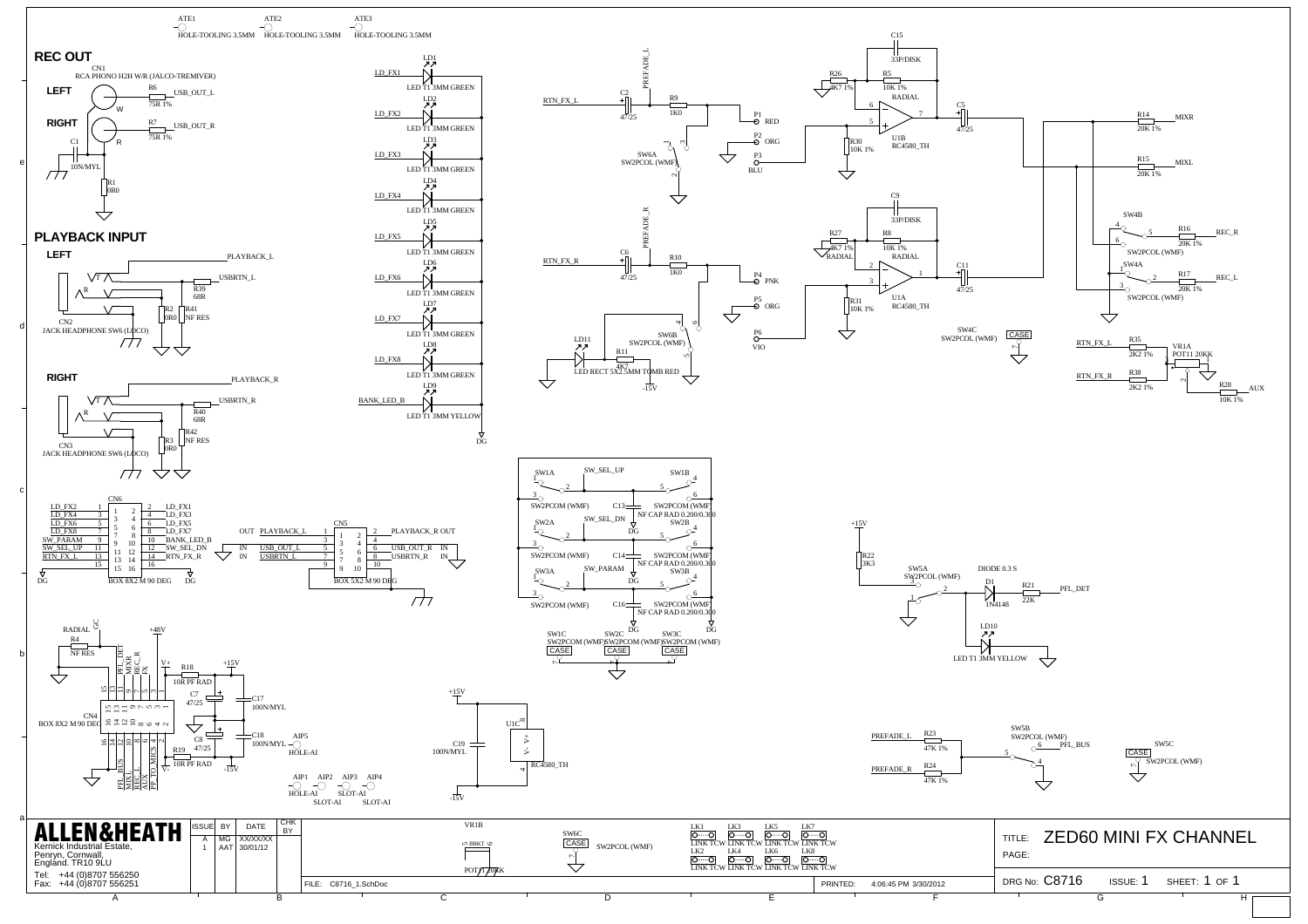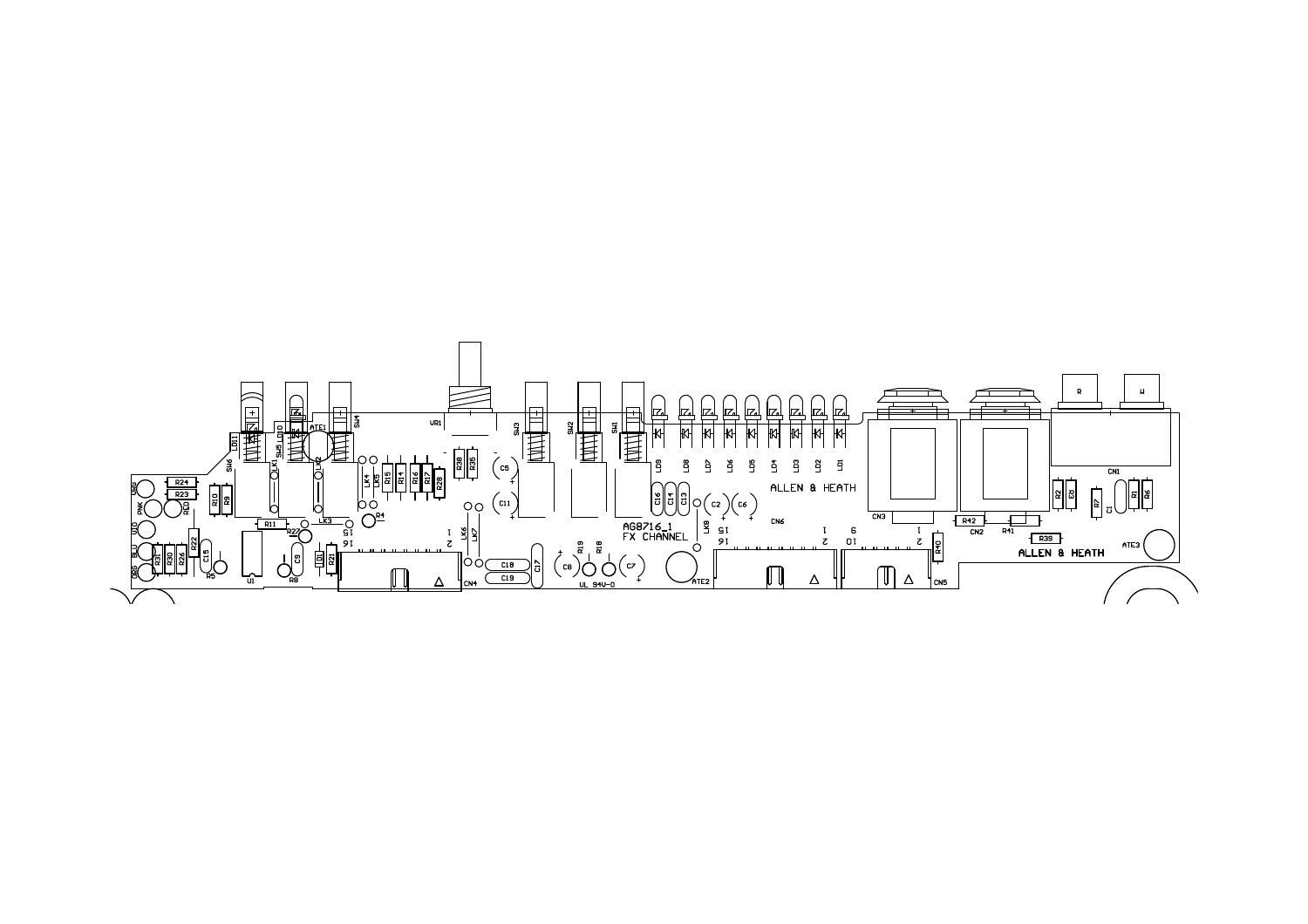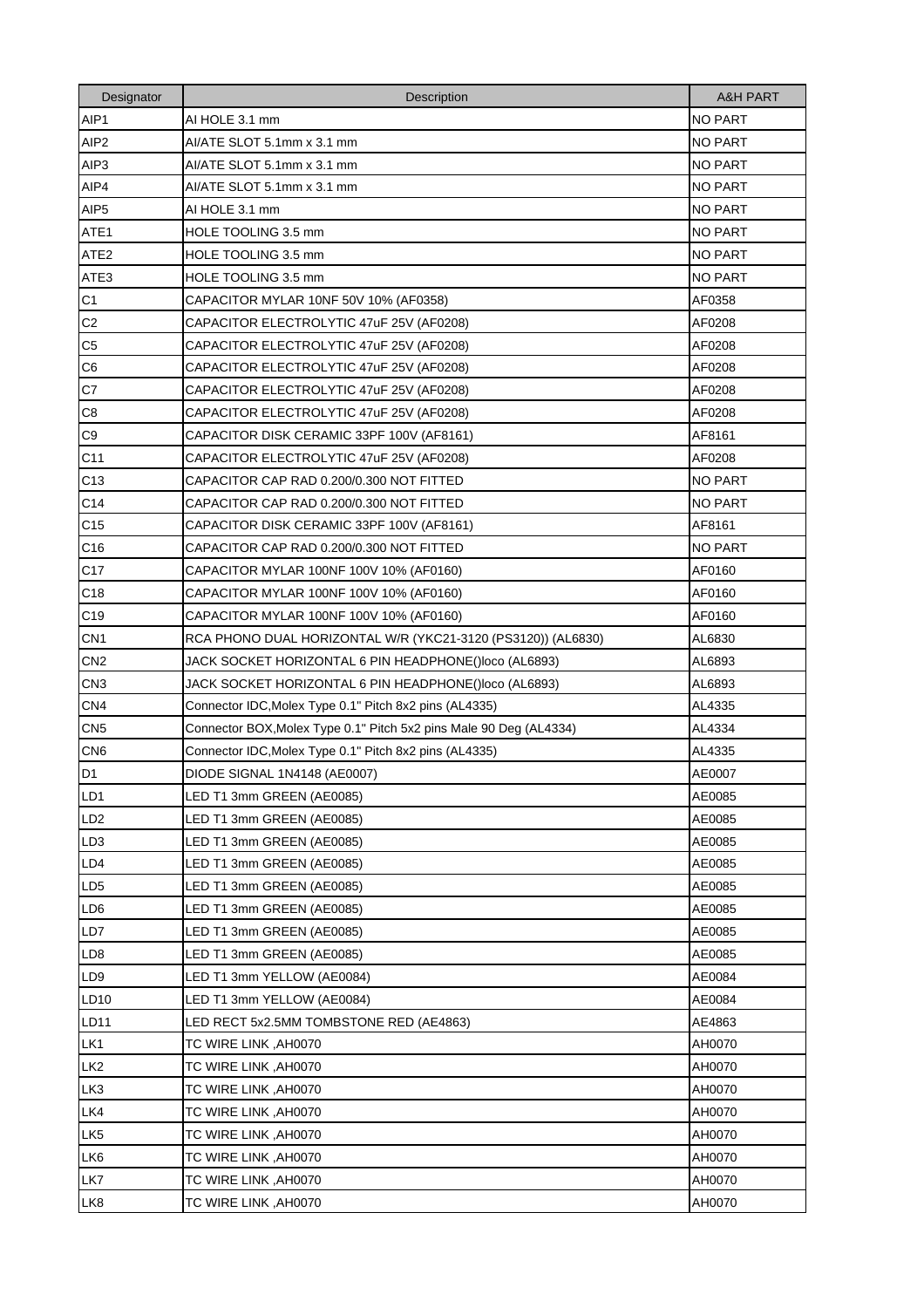| Designator       | Description                                                        | <b>A&amp;H PART</b> |
|------------------|--------------------------------------------------------------------|---------------------|
| AIP1             | AI HOLE 3.1 mm                                                     | <b>NO PART</b>      |
| AIP <sub>2</sub> | AI/ATE SLOT 5.1mm x 3.1 mm                                         | <b>NO PART</b>      |
| AIP <sub>3</sub> | AI/ATE SLOT 5.1mm x 3.1 mm                                         | <b>NO PART</b>      |
| AIP4             | AI/ATE SLOT 5.1mm x 3.1 mm                                         | <b>NO PART</b>      |
| AIP <sub>5</sub> | AI HOLE 3.1 mm                                                     | <b>NO PART</b>      |
| ATE <sub>1</sub> | HOLE TOOLING 3.5 mm                                                | <b>NO PART</b>      |
| ATE <sub>2</sub> | HOLE TOOLING 3.5 mm                                                | <b>NO PART</b>      |
| ATE3             | HOLE TOOLING 3.5 mm                                                | <b>NO PART</b>      |
| C <sub>1</sub>   | CAPACITOR MYLAR 10NF 50V 10% (AF0358)                              | AF0358              |
| C <sub>2</sub>   | CAPACITOR ELECTROLYTIC 47uF 25V (AF0208)                           | AF0208              |
| C <sub>5</sub>   | CAPACITOR ELECTROLYTIC 47uF 25V (AF0208)                           | AF0208              |
| C <sub>6</sub>   | CAPACITOR ELECTROLYTIC 47uF 25V (AF0208)                           | AF0208              |
| C7               | CAPACITOR ELECTROLYTIC 47uF 25V (AF0208)                           | AF0208              |
| C <sub>8</sub>   | CAPACITOR ELECTROLYTIC 47uF 25V (AF0208)                           | AF0208              |
| C <sub>9</sub>   | CAPACITOR DISK CERAMIC 33PF 100V (AF8161)                          | AF8161              |
| C <sub>11</sub>  | CAPACITOR ELECTROLYTIC 47uF 25V (AF0208)                           | AF0208              |
| C <sub>13</sub>  | CAPACITOR CAP RAD 0.200/0.300 NOT FITTED                           | <b>NO PART</b>      |
| C14              | CAPACITOR CAP RAD 0.200/0.300 NOT FITTED                           | <b>NO PART</b>      |
| C <sub>15</sub>  | CAPACITOR DISK CERAMIC 33PF 100V (AF8161)                          | AF8161              |
| C <sub>16</sub>  | CAPACITOR CAP RAD 0.200/0.300 NOT FITTED                           | NO PART             |
| C <sub>17</sub>  | CAPACITOR MYLAR 100NF 100V 10% (AF0160)                            | AF0160              |
| C <sub>18</sub>  | CAPACITOR MYLAR 100NF 100V 10% (AF0160)                            | AF0160              |
| C <sub>19</sub>  | CAPACITOR MYLAR 100NF 100V 10% (AF0160)                            | AF0160              |
| CN <sub>1</sub>  | RCA PHONO DUAL HORIZONTAL W/R (YKC21-3120 (PS3120)) (AL6830)       | AL6830              |
| CN <sub>2</sub>  | JACK SOCKET HORIZONTAL 6 PIN HEADPHONE()loco (AL6893)              | AL6893              |
| CN <sub>3</sub>  | JACK SOCKET HORIZONTAL 6 PIN HEADPHONE()loco (AL6893)              | AL6893              |
| CN <sub>4</sub>  | Connector IDC, Molex Type 0.1" Pitch 8x2 pins (AL4335)             | AL4335              |
| CN <sub>5</sub>  | Connector BOX, Molex Type 0.1" Pitch 5x2 pins Male 90 Deg (AL4334) | AL4334              |
| CN <sub>6</sub>  | Connector IDC, Molex Type 0.1" Pitch 8x2 pins (AL4335)             | AL4335              |
| D <sub>1</sub>   | DIODE SIGNAL 1N4148 (AE0007)                                       | AE0007              |
| LD <sub>1</sub>  | LED T1 3mm GREEN (AE0085)                                          | AE0085              |
| LD <sub>2</sub>  | LED T1 3mm GREEN (AE0085)                                          | AE0085              |
| LD <sub>3</sub>  | LED T1 3mm GREEN (AE0085)                                          | AE0085              |
| LD4              | LED T1 3mm GREEN (AE0085)                                          | AE0085              |
| LD <sub>5</sub>  | LED T1 3mm GREEN (AE0085)                                          | AE0085              |
| LD <sub>6</sub>  | LED T1 3mm GREEN (AE0085)                                          | AE0085              |
| LD7              | LED T1 3mm GREEN (AE0085)                                          | AE0085              |
| LD <sub>8</sub>  | LED T1 3mm GREEN (AE0085)                                          | AE0085              |
| LD <sub>9</sub>  | LED T1 3mm YELLOW (AE0084)                                         | AE0084              |
| LD10             | LED T1 3mm YELLOW (AE0084)                                         | AE0084              |
| LD11             | LED RECT 5x2.5MM TOMBSTONE RED (AE4863)                            | AE4863              |
| LK1              | TC WIRE LINK , AH0070                                              | AH0070              |
| LK <sub>2</sub>  | TC WIRE LINK, AH0070                                               | AH0070              |
| LK <sub>3</sub>  | TC WIRE LINK, AH0070                                               | AH0070              |
| LK4              | TC WIRE LINK, AH0070                                               | AH0070              |
| LK <sub>5</sub>  | TC WIRE LINK, AH0070                                               | AH0070              |
| LK <sub>6</sub>  | TC WIRE LINK, AH0070                                               | AH0070              |
| LK7              | TC WIRE LINK, AH0070                                               | AH0070              |
| LK <sub>8</sub>  | TC WIRE LINK, AH0070                                               | AH0070              |